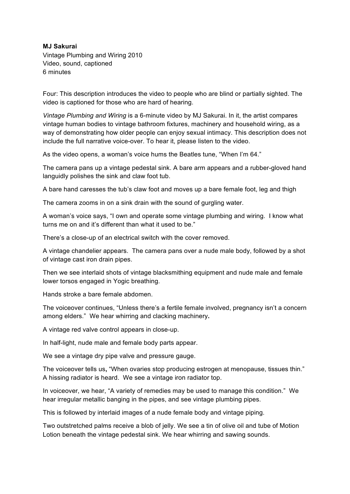## **MJ Sakurai**

 Vintage Plumbing and Wiring 2010 Video, sound, captioned 6 minutes

 Four: This description introduces the video to people who are blind or partially sighted. The video is captioned for those who are hard of hearing.

 *Vintage Plumbing and Wiring* is a 6-minute video by MJ Sakurai. In it, the artist compares vintage human bodies to vintage bathroom fixtures, machinery and household wiring, as a way of demonstrating how older people can enjoy sexual intimacy. This description does not include the full narrative voice-over. To hear it, please listen to the video.

As the video opens, a woman's voice hums the Beatles tune, "When I'm 64."

 The camera pans up a vintage pedestal sink. A bare arm appears and a rubber-gloved hand languidly polishes the sink and claw foot tub.

A bare hand caresses the tub's claw foot and moves up a bare female foot, leg and thigh

The camera zooms in on a sink drain with the sound of gurgling water.

 A woman's voice says, "I own and operate some vintage plumbing and wiring. I know what turns me on and it's different than what it used to be."

There's a close-up of an electrical switch with the cover removed.

 A vintage chandelier appears. The camera pans over a nude male body, followed by a shot of vintage cast iron drain pipes.

 Then we see interlaid shots of vintage blacksmithing equipment and nude male and female lower torsos engaged in Yogic breathing.

Hands stroke a bare female abdomen.

 The voiceover continues, "Unless there's a fertile female involved, pregnancy isn't a concern  among elders." We hear whirring and clacking machinery**.**

A vintage red valve control appears in close-up.

In half-light, nude male and female body parts appear.

We see a vintage dry pipe valve and pressure gauge.

 The voiceover tells us**,** "When ovaries stop producing estrogen at menopause, tissues thin." A hissing radiator is heard. We see a vintage iron radiator top.

 hear irregular metallic banging in the pipes, and see vintage plumbing pipes. In voiceover, we hear, "A variety of remedies may be used to manage this condition." We

This is followed by interlaid images of a nude female body and vintage piping.

 Two outstretched palms receive a blob of jelly. We see a tin of olive oil and tube of Motion Lotion beneath the vintage pedestal sink. We hear whirring and sawing sounds.